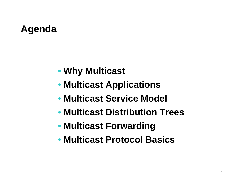# **Agenda**

- **Why Multicast**
- **Multicast Applications**
- **Multicast Service Model**
- **Multicast Distribution Trees**
- **Multicast Forwarding**
- **Multicast Protocol Basics**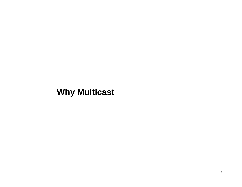#### **Why Multicast**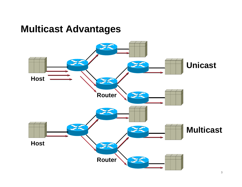## **Multicast Advantages**

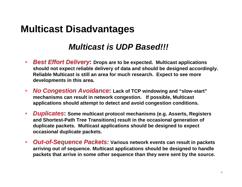# **Multicast Disadvantages**

#### **Multicast is UDP Based!!!**

- $\bullet$  **Best Effort Delivery: Drops are to be expected. Multicast applications should not expect reliable delivery of data and should be designed accordingly. Reliable Multicast is still an area for much research. Expect to see more developments in this area.**
- $\bullet$  **No Congestion Avoidance: Lack of TCP windowing and "slow-start"mechanisms can result in network congestion. If possible, Multicast applications should attempt to detect and avoid congestion conditions.**
- $\bullet$  **Duplicates: Some multicast protocol mechanisms (e.g. Asserts, Registers and Shortest-Path Tree Transitions) result in the occasional generation of duplicate packets. Multicast applications should be designed to expect occasional duplicate packets.**
- $\bullet$  **Out-of-Sequence Packets: Various network events can result in packets arriving out of sequence. Multicast applications should be designed to handle packets that arrive in some other sequence than they were sent by the source.**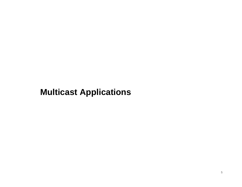#### **Multicast Applications**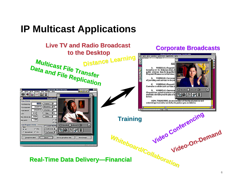# **IP Multicast Applications**

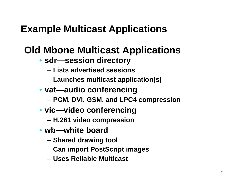# **Example Multicast Applications**

# **Old Mbone Multicast Applications**

- **sdr—session directory**
	- **Lists advertised sessions**
	- **Launches multicast application(s)**
- **vat—audio conferencing**
	- **PCM, DVI, GSM, and LPC4 compression**
- **vic—video conferencing**
	- **H.261 video compression**
- **wb—white board**
	- **Shared drawing tool**
	- **Can import PostScript images**
	- **Uses Reliable Multicast**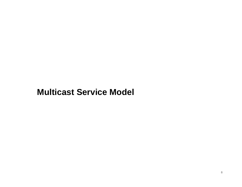#### **Multicast Service Model**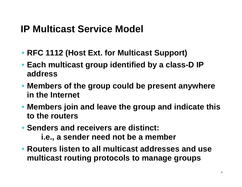# **IP Multicast Service Model**

- **RFC 1112 (Host Ext. for Multicast Support)**
- **Each multicast group identified by a class-D IP address**
- **Members of the group could be present anywhere in the Internet**
- **Members join and leave the group and indicate this to the routers**
- **Senders and receivers are distinct: i.e., a sender need not be a member**
- **Routers listen to all multicast addresses and use multicast routing protocols to manage groups**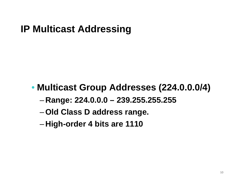# **IP Multicast Addressing**

# • **Multicast Group Addresses (224.0.0.0/4)**

- –**Range: 224.0.0.0 – 239.255.255.255**
- –**Old Class D address range.**
- –**High-order 4 bits are 1110**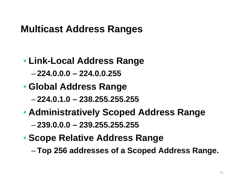# **Multicast Address Ranges**

- **Link-Local Address Range**
	- –**224.0.0.0 – 224.0.0.255**
- **Global Address Range**
	- –**224.0.1.0 – 238.255.255.255**
- **Administratively Scoped Address Range**–**239.0.0.0 – 239.255.255.255**
- **Scope Relative Address Range**
	- –**Top 256 addresses of a Scoped Address Range.**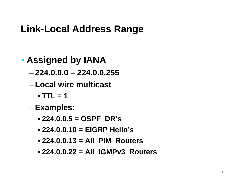# **Link-Local Address Range**

- **Assigned by IANA**
	- –**224.0.0.0 – 224.0.0.255**
	- – **Local wire multicast** 
		- **TTL = 1**
	- –**Examples:**
		- **224.0.0.5 = OSPF\_DR's**
		- **224.0.0.10 = EIGRP Hello's**
		- **224.0.0.13 = All\_PIM\_Routers**
		- **224.0.0.22 = All\_IGMPv3\_Routers**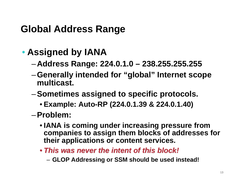# **Global Address Range**

- **Assigned by IANA**
	- –**Address Range: 224.0.1.0 – 238.255.255.255**
	- –**Generally intended for "global" Internet scope multicast.**
	- –**Sometimes assigned to specific protocols.**
		- **Example: Auto-RP (224.0.1.39 & 224.0.1.40)**
	- –**Problem:**
		- **IANA is coming under increasing pressure from companies to assign them blocks of addresses for their applications or content services.**
		- **This was never the intent of this block!**
			- **GLOP Addressing or SSM should be used instead!**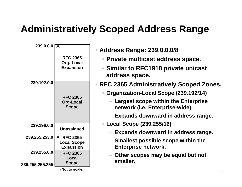# **Administratively Scoped Address Range**

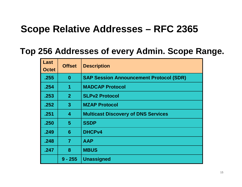# **Scope Relative Addresses – RFC 2365**

#### **Top 256 Addresses of every Admin. Scope Range.**

| <b>Last</b><br><b>Octet</b> | <b>Offset</b>           | <b>Description</b>                             |
|-----------------------------|-------------------------|------------------------------------------------|
| .255                        | $\bf{0}$                | <b>SAP Session Announcement Protocol (SDR)</b> |
| .254                        | 1                       | <b>MADCAP Protocol</b>                         |
| .253                        | 2 <sup>1</sup>          | <b>SLPv2 Protocol</b>                          |
| .252                        | $\mathbf{3}$            | <b>MZAP Protocol</b>                           |
| .251                        | $\overline{\mathbf{4}}$ | <b>Multicast Discovery of DNS Services</b>     |
| .250                        | 5 <sup>5</sup>          | <b>SSDP</b>                                    |
| .249                        | 6                       | <b>DHCPv4</b>                                  |
| .248                        | $\overline{7}$          | <b>AAP</b>                                     |
| .247                        | 8                       | <b>MBUS</b>                                    |
|                             | $9 - 255$               | <b>Unassigned</b>                              |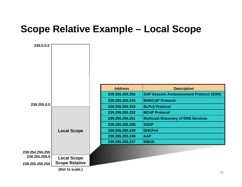# **Scope Relative Example – Local Scope**

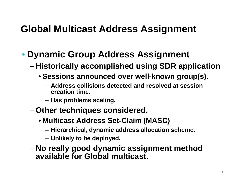# **Global Multicast Address Assignment**

# • **Dynamic Group Address Assignment**

- – **Historically accomplished using SDR application**
	- **Sessions announced over well-known group(s).**
		- **Address collisions detected and resolved at sessioncreation time.**
		- $-$  Has problems scaling.
- – **Other techniques considered.**
	- **Multicast Address Set-Claim (MASC)**
		- **Hierarchical, dynamic address allocation scheme.**
		- **Unlikely to be deployed.**
- – **No really good dynamic assignment method available for Global multicast.**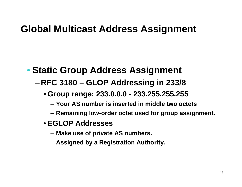# **Global Multicast Address Assignment**

# • **Static Group Address Assignment**

- – **RFC 3180 – GLOP Addressing in 233/8**
	- **Group range: 233.0.0.0 - 233.255.255.255**
		- **Your AS number is inserted in middle two octets**
		- **Remaining low-order octet used for group assignment.**
	- **EGLOP Addresses**
		- **Make use of private AS numbers.**
		- **Assigned by a Registration Authority.**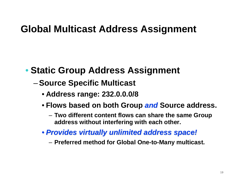# **Global Multicast Address Assignment**

# • **Static Group Address Assignment**

- –**Source Specific Multicast**
	- **Address range: 232.0.0.0/8**
	- **Flows based on both Group and Source address.**
		- – **Two different content flows can share the same Group address without interfering with each other.**
	- **Provides virtually unlimited address space!**
		- –**Preferred method for Global One-to-Many multicast.**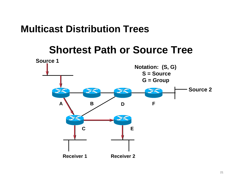# **Shortest Path or Source Tree**

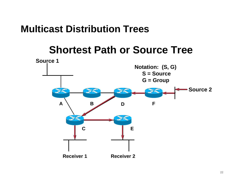# **Shortest Path or Source Tree**

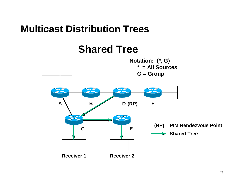# **Shared Tree**

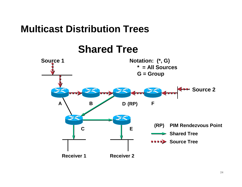**Shared Tree**

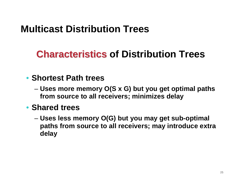# **Characteristics of Distribution Trees**

#### • **Shortest Path trees**

 **Uses more memory O(S x G) but you get optimal paths from source to all receivers; minimizes delay**

#### • **Shared trees**

 **Uses less memory O(G) but you may get sub-optimal paths from source to all receivers; may introduce extra delay**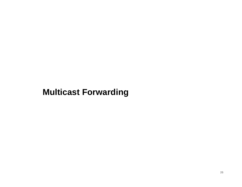#### **Multicast Forwarding**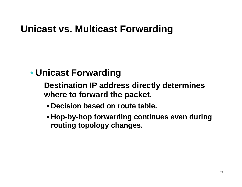# **Unicast vs. Multicast Forwarding**

# • **Unicast Forwarding**

- – **Destination IP address directly determines where to forward the packet.**
	- **Decision based on route table.**
	- **Hop-by-hop forwarding continues even during routing topology changes.**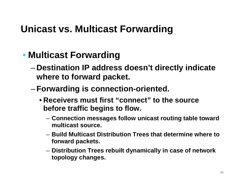# **Unicast vs. Multicast Forwarding**

# • **Multicast Forwarding**

- – **Destination IP address doesn't directly indicate where to forward packet.**
- – **Forwarding is connection-oriented.**
	- **Receivers must first "connect" to the source before traffic begins to flow.**
		- **Connection messages follow unicast routing table toward multicast source.**
		- **Build Multicast Distribution Trees that determine where to forward packets.**
		- **Distribution Trees rebuilt dynamically in case of network topology changes.**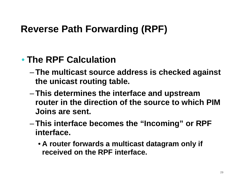# • **The RPF Calculation**

- – **The multicast source address is checked against the unicast routing table.**
- – **This determines the interface and upstream router in the direction of the source to which PIM Joins are sent.**
- – **This interface becomes the "Incoming" or RPF interface.**
	- **A router forwards a multicast datagram only if received on the RPF interface.**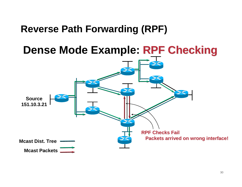**Dense Mode Example: RPF Checking**

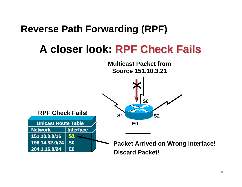# **A closer look: RPF Check Fails**

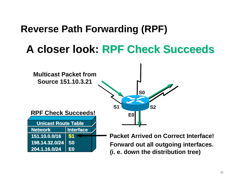# **A closer look: RPF Check Succeeds**

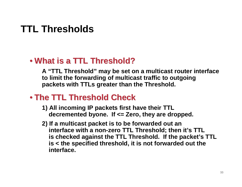# **TTL Thresholds**

# • **What is a TTL Threshold?**

 **A "TTL Threshold" may be set on a multicast router interface to limit the forwarding of multicast traffic to outgoing packets with TTLs greater than the Threshold.**

## • **The TTL Threshold Check**

- **1) All incoming IP packets first have their TTLdecremented byone. If <= Zero, they are dropped.**
- **2) If a multicast packet is to be forwarded out an interface with a non-zero TTL Threshold; then it's TTL is checked against the TTL Threshold. If the packet's TTLis < the specified threshold, it is not forwarded out theinterface.**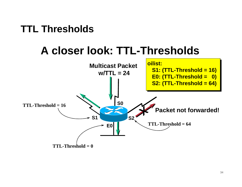# **TTL Thresholds**

# **A closer look: TTL-Thresholds**

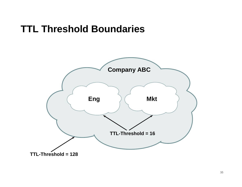# **TTL Threshold Boundaries**

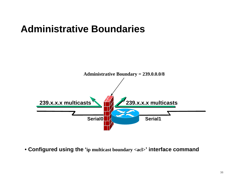# **Administrative Boundaries**



• **Configured using the 'ip multicast boundary <acl>' interface command**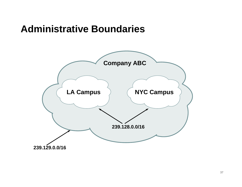## **Administrative Boundaries**

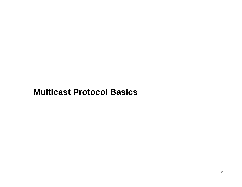#### **Multicast Protocol Basics**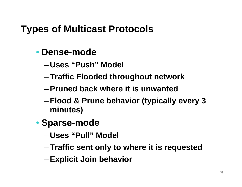# **Types of Multicast Protocols**

- **Dense-mode**
	- –**Uses "Push" Model**
	- –**Traffic Flooded throughout network**
	- –**Pruned back where it is unwanted**
	- – **Flood & Prune behavior (typically every 3 minutes)**
- **Sparse-mode**
	- –**Uses "Pull" Model**
	- –**Traffic sent only to where it is requested**
	- –**Explicit Join behavior**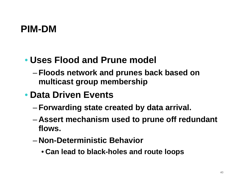# **PIM-DM**

# • **Uses Flood and Prune model**

– **Floods network and prunes back based on multicast group membership**

# • **Data Driven Events**

- –**Forwarding state created by data arrival.**
- – **Assert mechanism used to prune off redundant flows.**
- – **Non-Deterministic Behavior**
	- **Can lead to black-holes and route loops**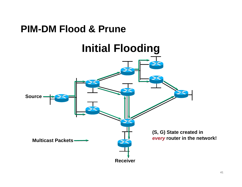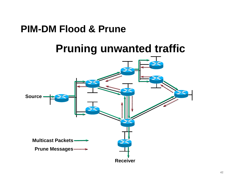# **PIM-DM Flood & Prune**

# **Pruning unwanted traffic**

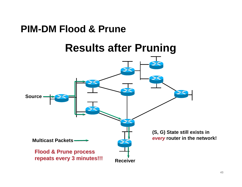# **PIM-DM Flood & Prune**

# **Results after Pruning**

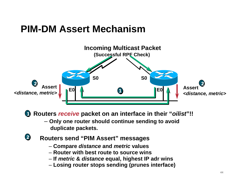# **PIM-DM Assert Mechanism**



**Routers receive packet on an interface in their "oilist"!! 1**

- **Only one router should continue sending to avoid duplicate packets.**
- **2 Routers send "PIM Assert" messages**
	- **Compare distance and metric values**
	- **Router with best route to source wins**
	- **If metric & distance equal, highest IP adr wins**
	- **Losing router stops sending (prunes interface)**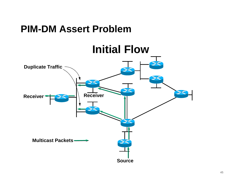# **PIM-DM Assert Problem**

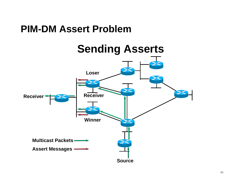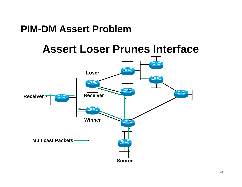## **PIM-DM Assert Problem**

# **Assert Loser Prunes Interface**

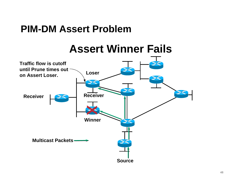# **PIM-DM Assert Problem**

# **Assert Winner Fails**

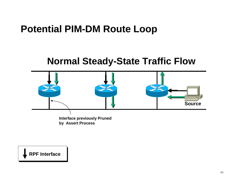# **Potential PIM-DM Route Loop**

#### **Normal Steady-State Traffic Flow**



**RPF Interface**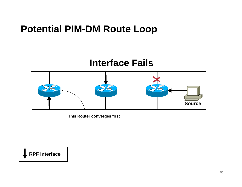# **Potential PIM-DM Route Loop**



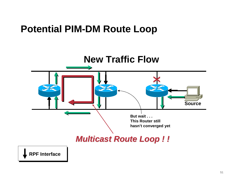# **Potential PIM-DM Route Loop**

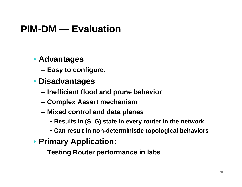# **PIM-DM — Evaluation**

#### • **Advantages**

- –**Easy to configure.**
- **Disadvantages**
	- –**Inefficient flood and prune behavior**
	- –**Complex Assert mechanism**
	- Mived control and data nia **Mixed control and data planes**
		- **Results in (S, G) state in every router in the network**
		- **Can result in non-deterministic topological behaviors**
- **Primary Application:**
	- –**Testing Router performance in labs**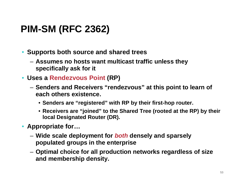# **PIM-SM (RFC 2362)**

- **Supports both source and shared trees**
	- – **Assumes no hosts want multicast traffic unless they specifically ask for it**
- **Uses a Rendezvous Point (RP)**
	- – **Senders and Receivers "rendezvous" at this point to learn of each others existence.**
		- **Senders are "registered" with RP by their first-hop router.**
		- **Receivers are "joined" to the Shared Tree (rooted at the RP) by their local Designated Router (DR).**
- **Appropriate for…**
	- WINA СРЯА ЛІ **Wide scale deployment for both densely and sparsely populated groups in the enterprise**
	- – **Optimal choice for all production networks regardless of size and membership density.**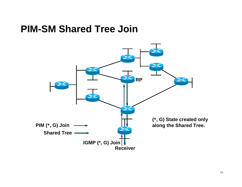# **PIM-SM Shared Tree Join**

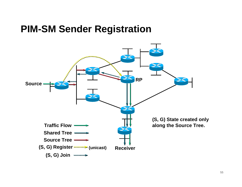# **PIM-SM Sender Registration**

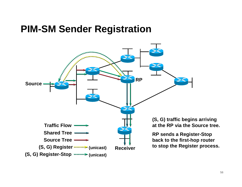# **PIM-SM Sender Registration**

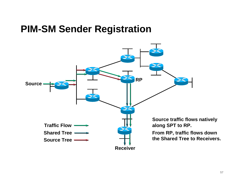# **PIM-SM Sender Registration**

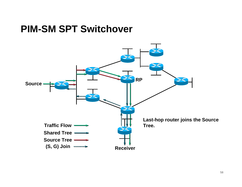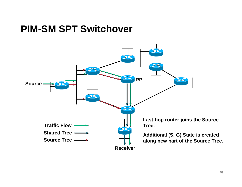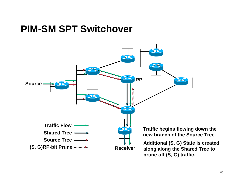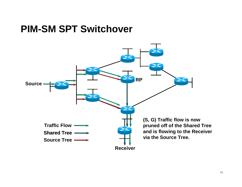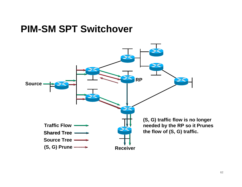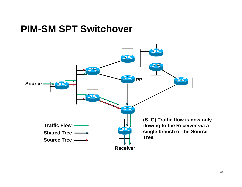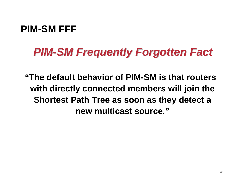# **PIM-SM FFF**

# **PIM-SM Frequently Forgotten Fact**

**"The default behavior of PIM-SM is that routers with directly connected members will join the Shortest Path Tree as soon as they detect a new multicast source."**